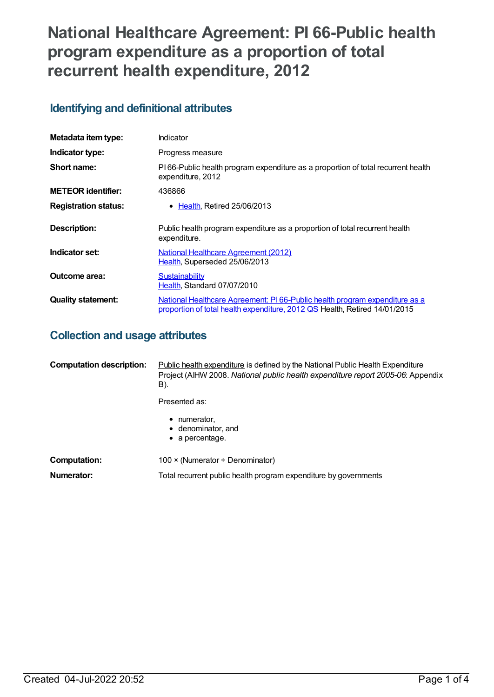# **National Healthcare Agreement: PI 66-Public health program expenditure as a proportion of total recurrent health expenditure, 2012**

## **Identifying and definitional attributes**

| Metadata item type:         | Indicator                                                                                                                                                |
|-----------------------------|----------------------------------------------------------------------------------------------------------------------------------------------------------|
| Indicator type:             | Progress measure                                                                                                                                         |
| Short name:                 | PI66-Public health program expenditure as a proportion of total recurrent health<br>expenditure, 2012                                                    |
| <b>METEOR identifier:</b>   | 436866                                                                                                                                                   |
| <b>Registration status:</b> | $\bullet$ Health. Retired 25/06/2013                                                                                                                     |
| Description:                | Public health program expenditure as a proportion of total recurrent health<br>expenditure.                                                              |
| Indicator set:              | <b>National Healthcare Agreement (2012)</b><br>Health, Superseded 25/06/2013                                                                             |
| Outcome area:               | Sustainability<br>Health, Standard 07/07/2010                                                                                                            |
| <b>Quality statement:</b>   | National Healthcare Agreement: PI66-Public health program expenditure as a<br>proportion of total health expenditure, 2012 QS Health, Retired 14/01/2015 |

## **Collection and usage attributes**

| <b>Computation description:</b> | <b>Public health expenditure is defined by the National Public Health Expenditure</b><br>Project (AIHW 2008. National public health expenditure report 2005-06: Appendix<br>B). |  |
|---------------------------------|---------------------------------------------------------------------------------------------------------------------------------------------------------------------------------|--|
|                                 | Presented as:                                                                                                                                                                   |  |
|                                 | numerator,<br>$\bullet$ denominator, and<br>$\bullet$ a percentage.                                                                                                             |  |
| <b>Computation:</b>             | 100 $\times$ (Numerator ÷ Denominator)                                                                                                                                          |  |
| Numerator:                      | Total recurrent public health program expenditure by governments                                                                                                                |  |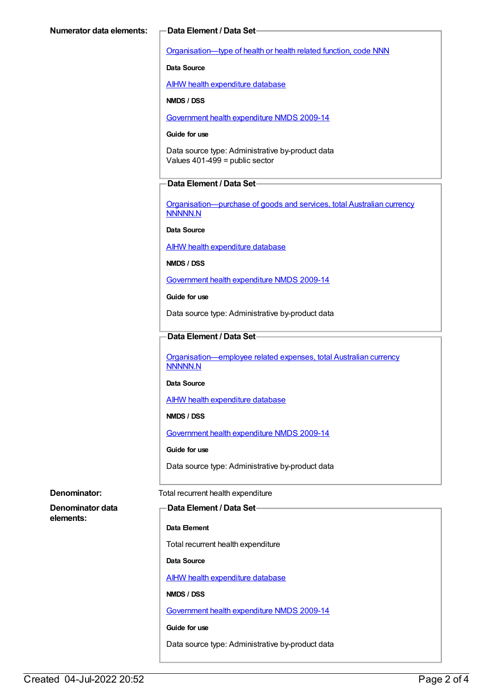[Organisation—type](https://meteor.aihw.gov.au/content/352187) of health or health related function, code NNN

**Data Source**

AIHW health [expenditure](https://meteor.aihw.gov.au/content/395380) database

**NMDS / DSS**

[Government](https://meteor.aihw.gov.au/content/376403) health expenditure NMDS 2009-14

#### **Guide for use**

Data source type: Administrative by-product data Values 401-499 = public sector

#### **Data Element / Data Set**

[Organisation—purchase](https://meteor.aihw.gov.au/content/359935) of goods and services, total Australian currency NNNNN.N

**Data Source**

AIHW health [expenditure](https://meteor.aihw.gov.au/content/395380) database

**NMDS / DSS**

[Government](https://meteor.aihw.gov.au/content/376403) health expenditure NMDS 2009-14

**Guide for use**

Data source type: Administrative by-product data

#### **Data Element / Data Set**

[Organisation—employee](https://meteor.aihw.gov.au/content/359947) related expenses, total Australian currency NNNNN.N

#### **Data Source**

AIHW health [expenditure](https://meteor.aihw.gov.au/content/395380) database

**NMDS / DSS**

[Government](https://meteor.aihw.gov.au/content/376403) health expenditure NMDS 2009-14

**Guide for use**

Data source type: Administrative by-product data

**Denominator data elements:**

### **Denominator:** Total recurrent health expenditure

#### **Data Element / Data Set**

**Data Element**

Total recurrent health expenditure

**Data Source**

AIHW health [expenditure](https://meteor.aihw.gov.au/content/395380) database

**NMDS / DSS**

[Government](https://meteor.aihw.gov.au/content/376403) health expenditure NMDS 2009-14

**Guide for use**

Data source type: Administrative by-product data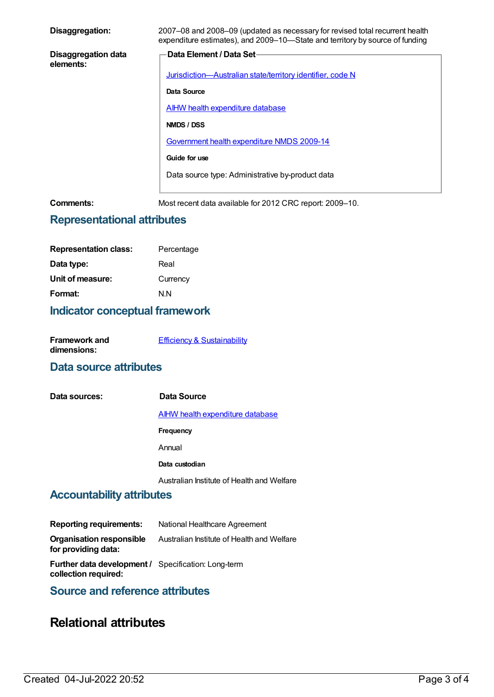| 2007–08 and 2008–09 (updated as necessary for revised total recurrent health<br>expenditure estimates), and 2009–10—State and territory by source of funding |
|--------------------------------------------------------------------------------------------------------------------------------------------------------------|
| Data Element / Data Set-                                                                                                                                     |
| Jurisdiction-Australian state/territory identifier, code N                                                                                                   |
| Data Source                                                                                                                                                  |
| <b>AIHW health expenditure database</b>                                                                                                                      |
| NMDS / DSS                                                                                                                                                   |
| Government health expenditure NMDS 2009-14                                                                                                                   |
| Guide for use                                                                                                                                                |
| Data source type: Administrative by-product data                                                                                                             |
|                                                                                                                                                              |

**Comments:** Most recent data available for 2012 CRC report: 2009–10.

## **Representational attributes**

| <b>Representation class:</b> | Percentage |
|------------------------------|------------|
| Data type:                   | Real       |
| Unit of measure:             | Currency   |
| Format:                      | N N        |

## **Indicator conceptual framework**

| <b>Framework and</b> | <b>Efficiency &amp; Sustainability</b> |
|----------------------|----------------------------------------|
| dimensions:          |                                        |

## **Data source attributes**

| Data sources: | Data Source                                |
|---------------|--------------------------------------------|
|               | <b>AIHW health expenditure database</b>    |
|               | Frequency                                  |
|               | Annual                                     |
|               | Data custodian                             |
|               | Australian Institute of Health and Welfare |

## **Accountability attributes**

| <b>Reporting requirements:</b>                                                     | National Healthcare Agreement              |
|------------------------------------------------------------------------------------|--------------------------------------------|
| Organisation responsible<br>for providing data:                                    | Australian Institute of Health and Welfare |
| <b>Further data development / Specification: Long-term</b><br>collection required: |                                            |

## **Source and reference attributes**

## **Relational attributes**